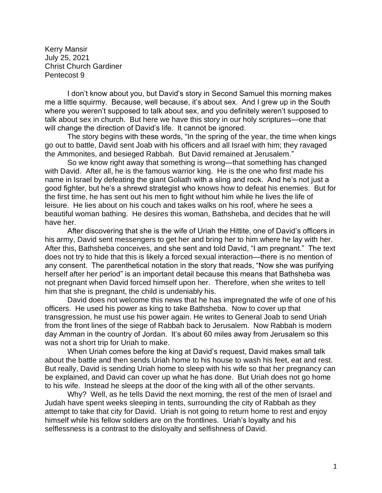Kerry Mansir July 25, 2021 Christ Church Gardiner Pentecost 9

I don't know about you, but David's story in Second Samuel this morning makes me a little squirmy. Because, well because, it's about sex. And I grew up in the South where you weren't supposed to talk about sex, and you definitely weren't supposed to talk about sex in church. But here we have this story in our holy scriptures—one that will change the direction of David's life. It cannot be ignored.

The story begins with these words, "In the spring of the year, the time when kings go out to battle, David sent Joab with his officers and all Israel with him; they ravaged the Ammonites, and besieged Rabbah. But David remained at Jerusalem."

So we know right away that something is wrong—that something has changed with David. After all, he is the famous warrior king. He is the one who first made his name in Israel by defeating the giant Goliath with a sling and rock. And he's not just a good fighter, but he's a shrewd strategist who knows how to defeat his enemies. But for the first time, he has sent out his men to fight without him while he lives the life of leisure. He lies about on his couch and takes walks on his roof, where he sees a beautiful woman bathing. He desires this woman, Bathsheba, and decides that he will have her.

After discovering that she is the wife of Uriah the Hittite, one of David's officers in his army, David sent messengers to get her and bring her to him where he lay with her. After this, Bathsheba conceives, and she sent and told David, "I am pregnant." The text does not try to hide that this is likely a forced sexual interaction—there is no mention of any consent. The parenthetical notation in the story that reads, "Now she was purifying herself after her period" is an important detail because this means that Bathsheba was not pregnant when David forced himself upon her. Therefore, when she writes to tell him that she is pregnant, the child is undeniably his.

David does not welcome this news that he has impregnated the wife of one of his officers. He used his power as king to take Bathsheba. Now to cover up that transgression, he must use his power again. He writes to General Joab to send Uriah from the front lines of the siege of Rabbah back to Jerusalem. Now Rabbah is modern day Amman in the country of Jordan. It's about 60 miles away from Jerusalem so this was not a short trip for Uriah to make.

When Uriah comes before the king at David's request, David makes small talk about the battle and then sends Uriah home to his house to wash his feet, eat and rest. But really, David is sending Uriah home to sleep with his wife so that her pregnancy can be explained, and David can cover up what he has done. But Uriah does not go home to his wife. Instead he sleeps at the door of the king with all of the other servants.

Why? Well, as he tells David the next morning, the rest of the men of Israel and Judah have spent weeks sleeping in tents, surrounding the city of Rabbah as they attempt to take that city for David. Uriah is not going to return home to rest and enjoy himself while his fellow soldiers are on the frontlines. Uriah's loyalty and his selflessness is a contrast to the disloyalty and selfishness of David.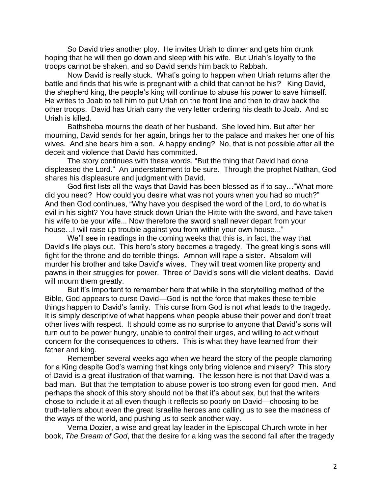So David tries another ploy. He invites Uriah to dinner and gets him drunk hoping that he will then go down and sleep with his wife. But Uriah's loyalty to the troops cannot be shaken, and so David sends him back to Rabbah.

Now David is really stuck. What's going to happen when Uriah returns after the battle and finds that his wife is pregnant with a child that cannot be his? King David, the shepherd king, the people's king will continue to abuse his power to save himself. He writes to Joab to tell him to put Uriah on the front line and then to draw back the other troops. David has Uriah carry the very letter ordering his death to Joab. And so Uriah is killed.

Bathsheba mourns the death of her husband. She loved him. But after her mourning, David sends for her again, brings her to the palace and makes her one of his wives. And she bears him a son. A happy ending? No, that is not possible after all the deceit and violence that David has committed.

The story continues with these words, "But the thing that David had done displeased the Lord." An understatement to be sure. Through the prophet Nathan, God shares his displeasure and judgment with David.

God first lists all the ways that David has been blessed as if to say…"What more did you need? How could you desire what was not yours when you had so much?" And then God continues, "Why have you despised the word of the Lord, to do what is evil in his sight? You have struck down Uriah the Hittite with the sword, and have taken his wife to be your wife... Now therefore the sword shall never depart from your house…I will raise up trouble against you from within your own house..."

We'll see in readings in the coming weeks that this is, in fact, the way that David's life plays out. This hero's story becomes a tragedy. The great king's sons will fight for the throne and do terrible things. Amnon will rape a sister. Absalom will murder his brother and take David's wives. They will treat women like property and pawns in their struggles for power. Three of David's sons will die violent deaths. David will mourn them greatly.

But it's important to remember here that while in the storytelling method of the Bible, God appears to curse David—God is not the force that makes these terrible things happen to David's family. This curse from God is not what leads to the tragedy. It is simply descriptive of what happens when people abuse their power and don't treat other lives with respect. It should come as no surprise to anyone that David's sons will turn out to be power hungry, unable to control their urges, and willing to act without concern for the consequences to others. This is what they have learned from their father and king.

Remember several weeks ago when we heard the story of the people clamoring for a King despite God's warning that kings only bring violence and misery? This story of David is a great illustration of that warning. The lesson here is not that David was a bad man. But that the temptation to abuse power is too strong even for good men. And perhaps the shock of this story should not be that it's about sex, but that the writers chose to include it at all even though it reflects so poorly on David—choosing to be truth-tellers about even the great Israelite heroes and calling us to see the madness of the ways of the world, and pushing us to seek another way.

Verna Dozier, a wise and great lay leader in the Episcopal Church wrote in her book, *The Dream of God*, that the desire for a king was the second fall after the tragedy